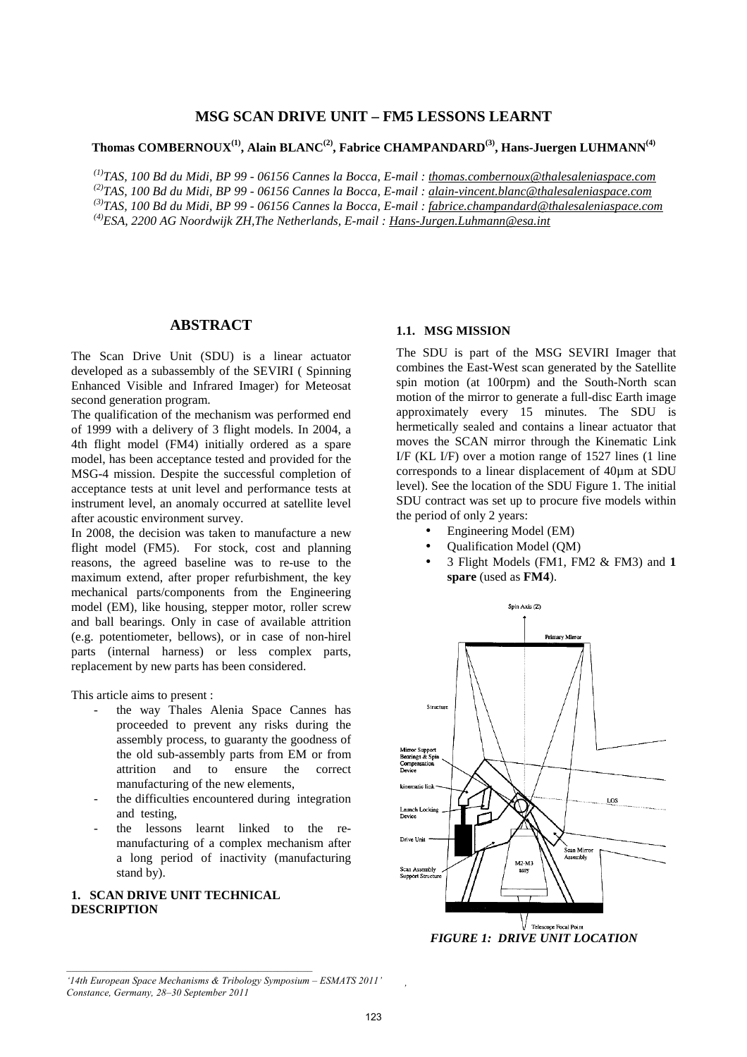## **MSG SCAN DRIVE UNIT – FM5 LESSONS LEARNT**

# **Thomas COMBERNOUX(1), Alain BLANC(2), Fabrice CHAMPANDARD(3), Hans-Juergen LUHMANN(4)**

*(1)TAS, 100 Bd du Midi, BP 99 - 06156 Cannes la Bocca, E-mail : thomas.combernoux@thalesaleniaspace.com (2)TAS, 100 Bd du Midi, BP 99 - 06156 Cannes la Bocca, E-mail : alain-vincent.blanc@thalesaleniaspace.com (3)TAS, 100 Bd du Midi, BP 99 - 06156 Cannes la Bocca, E-mail : fabrice.champandard@thalesaleniaspace.com (4)ESA, 2200 AG Noordwijk ZH,The Netherlands, E-mail : Hans-Jurgen.Luhmann@esa.int*

# **ABSTRACT**

The Scan Drive Unit (SDU) is a linear actuator developed as a subassembly of the SEVIRI ( Spinning Enhanced Visible and Infrared Imager) for Meteosat second generation program.

The qualification of the mechanism was performed end of 1999 with a delivery of 3 flight models. In 2004, a 4th flight model (FM4) initially ordered as a spare model, has been acceptance tested and provided for the MSG-4 mission. Despite the successful completion of acceptance tests at unit level and performance tests at instrument level, an anomaly occurred at satellite level after acoustic environment survey.

In 2008, the decision was taken to manufacture a new flight model (FM5). For stock, cost and planning reasons, the agreed baseline was to re-use to the maximum extend, after proper refurbishment, the key mechanical parts/components from the Engineering model (EM), like housing, stepper motor, roller screw and ball bearings. Only in case of available attrition (e.g. potentiometer, bellows), or in case of non-hirel parts (internal harness) or less complex parts, replacement by new parts has been considered.

This article aims to present :

- the way Thales Alenia Space Cannes has proceeded to prevent any risks during the assembly process, to guaranty the goodness of the old sub-assembly parts from EM or from attrition and to ensure the correct manufacturing of the new elements,
- the difficulties encountered during integration and testing,
- the lessons learnt linked to the remanufacturing of a complex mechanism after a long period of inactivity (manufacturing stand by).

# **1. SCAN DRIVE UNIT TECHNICAL DESCRIPTION**

#### **1.1. MSG MISSION**

The SDU is part of the MSG SEVIRI Imager that combines the East-West scan generated by the Satellite spin motion (at 100rpm) and the South-North scan motion of the mirror to generate a full-disc Earth image approximately every 15 minutes. The SDU is hermetically sealed and contains a linear actuator that moves the SCAN mirror through the Kinematic Link I/F (KL I/F) over a motion range of 1527 lines (1 line corresponds to a linear displacement of 40µm at SDU level). See the location of the SDU Figure 1. The initial SDU contract was set up to procure five models within the period of only 2 years:

- Engineering Model (EM)
- Qualification Model (QM)
- 3 Flight Models (FM1, FM2 & FM3) and **1 spare** (used as **FM4**).



*FIGURE 1: DRIVE UNIT LOCATION* 

*'*

*<sup>&#</sup>x27;14th European Space Mechanisms & Tribology Symposium – ESMATS 2011' Constance, Germany, 28–30 September 2011*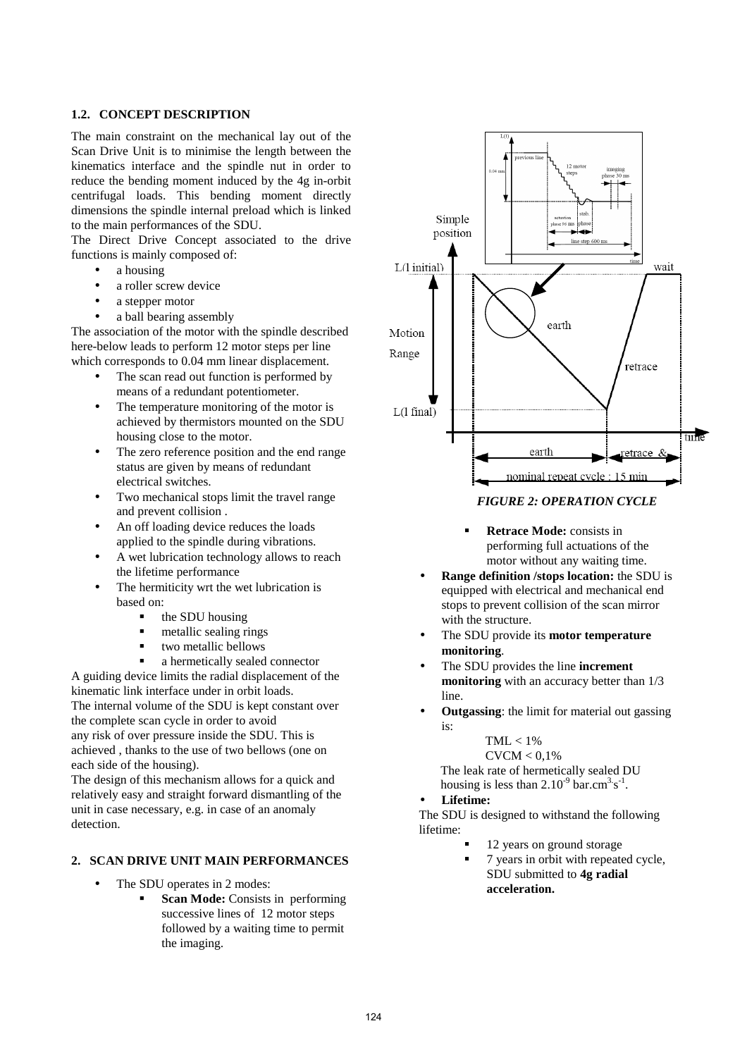## **1.2. CONCEPT DESCRIPTION**

The main constraint on the mechanical lay out of the Scan Drive Unit is to minimise the length between the kinematics interface and the spindle nut in order to reduce the bending moment induced by the 4g in-orbit centrifugal loads. This bending moment directly dimensions the spindle internal preload which is linked to the main performances of the SDU.

The Direct Drive Concept associated to the drive functions is mainly composed of:

- $\bullet$  a housing
- a roller screw device
- a stepper motor
- a ball bearing assembly

The association of the motor with the spindle described here-below leads to perform 12 motor steps per line which corresponds to 0.04 mm linear displacement.

- The scan read out function is performed by means of a redundant potentiometer.
- The temperature monitoring of the motor is achieved by thermistors mounted on the SDU housing close to the motor.
- The zero reference position and the end range status are given by means of redundant electrical switches.
- Two mechanical stops limit the travel range and prevent collision .
- An off loading device reduces the loads applied to the spindle during vibrations.
- A wet lubrication technology allows to reach the lifetime performance
- The hermiticity wrt the wet lubrication is based on:
	- the SDU housing
	- metallic sealing rings
	- two metallic bellows
	- a hermetically sealed connector

A guiding device limits the radial displacement of the kinematic link interface under in orbit loads.

The internal volume of the SDU is kept constant over the complete scan cycle in order to avoid any risk of over pressure inside the SDU. This is

achieved , thanks to the use of two bellows (one on each side of the housing).

The design of this mechanism allows for a quick and relatively easy and straight forward dismantling of the unit in case necessary, e.g. in case of an anomaly detection.

# **2. SCAN DRIVE UNIT MAIN PERFORMANCES**

- The SDU operates in 2 modes:
	- **Scan Mode:** Consists in performing successive lines of 12 motor steps followed by a waiting time to permit the imaging.



# *FIGURE 2: OPERATION CYCLE*

- **Retrace Mode:** consists in performing full actuations of the motor without any waiting time.
- **Range definition /stops location:** the SDU is equipped with electrical and mechanical end stops to prevent collision of the scan mirror with the structure.
- The SDU provide its **motor temperature monitoring**.
- The SDU provides the line **increment monitoring** with an accuracy better than  $1/3$ line.
- **Outgassing**: the limit for material out gassing is:

$$
TML < 1\%
$$

 $CVCM < 0.1\%$ 

The leak rate of hermetically sealed DU housing is less than  $2.10^{-9}$  bar.cm<sup>3.</sup>s<sup>-1</sup>.

## • **Lifetime:**

The SDU is designed to withstand the following lifetime:

- 12 years on ground storage
- 7 years in orbit with repeated cycle, SDU submitted to **4g radial acceleration.**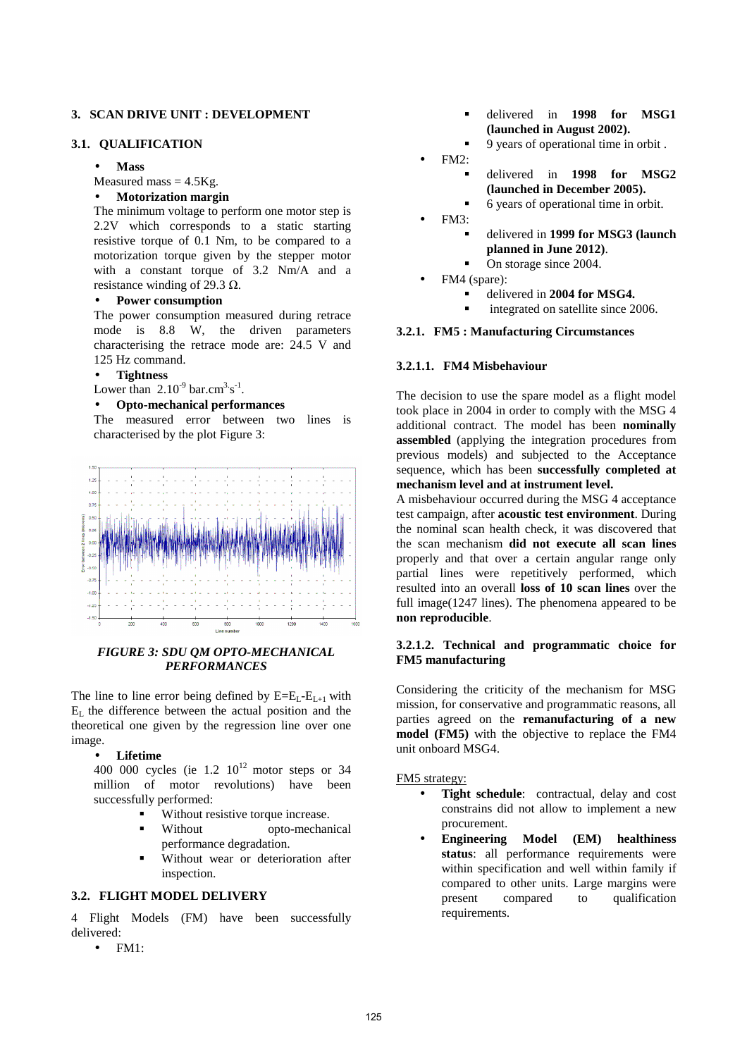### **3. SCAN DRIVE UNIT : DEVELOPMENT**

## **3.1. QUALIFICATION**

• **Mass** 

Measured mass  $= 4.5$ Kg.

#### • **Motorization margin**

The minimum voltage to perform one motor step is 2.2V which corresponds to a static starting resistive torque of 0.1 Nm, to be compared to a motorization torque given by the stepper motor with a constant torque of 3.2 Nm/A and a resistance winding of 29.3  $\Omega$ .

# • **Power consumption**

The power consumption measured during retrace mode is 8.8 W, the driven parameters characterising the retrace mode are: 24.5 V and 125 Hz command.

#### • **Tightness**

Lower than  $2.10^{-9}$  bar.cm<sup>3.</sup>s<sup>-1</sup>.

### • **Opto-mechanical performances**

The measured error between two lines is characterised by the plot Figure 3:



## *FIGURE 3: SDU QM OPTO-MECHANICAL PERFORMANCES*

The line to line error being defined by  $E=E_{L-}E_{L+1}$  with  $E<sub>L</sub>$  the difference between the actual position and the theoretical one given by the regression line over one image.

#### • **Lifetime**

400 000 cycles (ie  $1.2$   $10^{12}$  motor steps or 34 million of motor revolutions) have been successfully performed:

- Without resistive torque increase.
- Without opto-mechanical performance degradation.
- Without wear or deterioration after inspection.

## **3.2. FLIGHT MODEL DELIVERY**

4 Flight Models (FM) have been successfully delivered:

• FM1:

- delivered in **1998 for MSG1 (launched in August 2002).**
- 9 years of operational time in orbit .
- FM2:
	- delivered in **1998 for MSG2 (launched in December 2005).**
		- 6 years of operational time in orbit.
- $FM3:$ 
	- delivered in **1999 for MSG3 (launch planned in June 2012)**.
	- On storage since 2004.
- FM4 (spare):
	- delivered in **2004 for MSG4.**
	- integrated on satellite since 2006.

#### **3.2.1. FM5 : Manufacturing Circumstances**

#### **3.2.1.1. FM4 Misbehaviour**

The decision to use the spare model as a flight model took place in 2004 in order to comply with the MSG 4 additional contract. The model has been **nominally assembled** (applying the integration procedures from previous models) and subjected to the Acceptance sequence, which has been **successfully completed at mechanism level and at instrument level.**

A misbehaviour occurred during the MSG 4 acceptance test campaign, after **acoustic test environment**. During the nominal scan health check, it was discovered that the scan mechanism **did not execute all scan lines** properly and that over a certain angular range only partial lines were repetitively performed, which resulted into an overall **loss of 10 scan lines** over the full image(1247 lines). The phenomena appeared to be **non reproducible**.

## **3.2.1.2. Technical and programmatic choice for FM5 manufacturing**

Considering the criticity of the mechanism for MSG mission, for conservative and programmatic reasons, all parties agreed on the **remanufacturing of a new model (FM5)** with the objective to replace the FM4 unit onboard MSG4.

#### FM5 strategy:

- Tight schedule: contractual, delay and cost constrains did not allow to implement a new procurement.
- **Engineering Model (EM) healthiness status**: all performance requirements were within specification and well within family if compared to other units. Large margins were present compared to qualification requirements.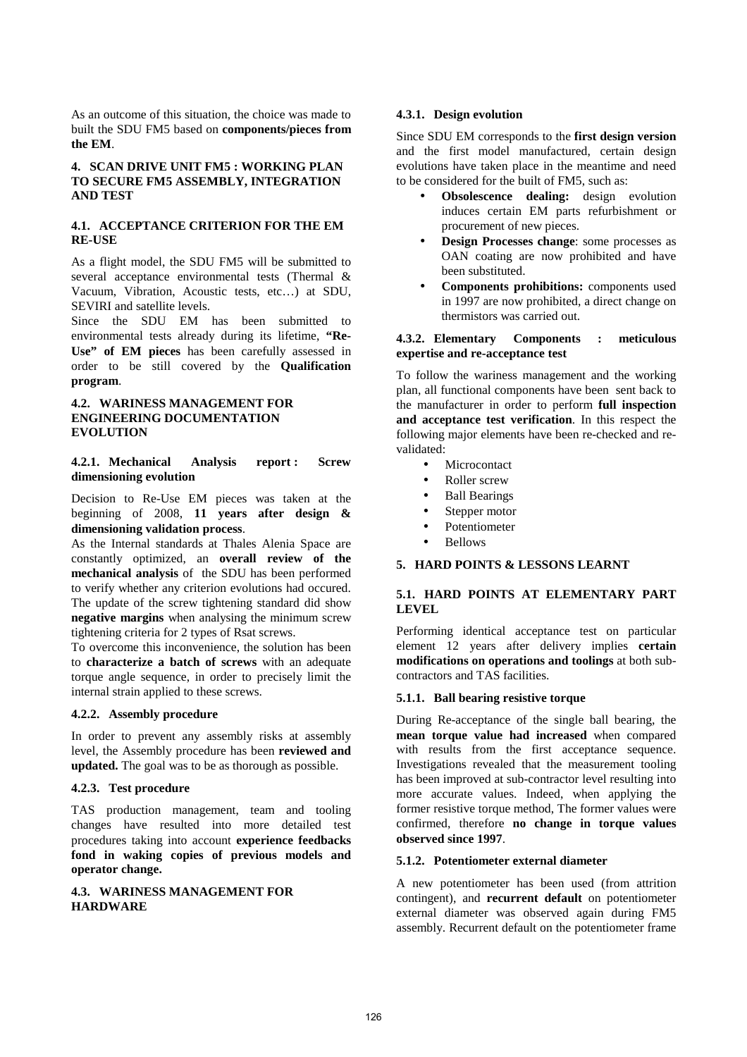As an outcome of this situation, the choice was made to built the SDU FM5 based on **components/pieces from the EM**.

## **4. SCAN DRIVE UNIT FM5 : WORKING PLAN TO SECURE FM5 ASSEMBLY, INTEGRATION AND TEST**

## **4.1. ACCEPTANCE CRITERION FOR THE EM RE-USE**

As a flight model, the SDU FM5 will be submitted to several acceptance environmental tests (Thermal & Vacuum, Vibration, Acoustic tests, etc…) at SDU, SEVIRI and satellite levels.

Since the SDU EM has been submitted to environmental tests already during its lifetime, **"Re-Use" of EM pieces** has been carefully assessed in order to be still covered by the **Qualification program**.

### **4.2. WARINESS MANAGEMENT FOR ENGINEERING DOCUMENTATION EVOLUTION**

**4.2.1. Mechanical Analysis report : Screw dimensioning evolution** 

Decision to Re-Use EM pieces was taken at the beginning of 2008, **11 years after design & dimensioning validation process**.

As the Internal standards at Thales Alenia Space are constantly optimized, an **overall review of the mechanical analysis** of the SDU has been performed to verify whether any criterion evolutions had occured. The update of the screw tightening standard did show **negative margins** when analysing the minimum screw tightening criteria for 2 types of Rsat screws.

To overcome this inconvenience, the solution has been to **characterize a batch of screws** with an adequate torque angle sequence, in order to precisely limit the internal strain applied to these screws.

## **4.2.2. Assembly procedure**

In order to prevent any assembly risks at assembly level, the Assembly procedure has been **reviewed and updated.** The goal was to be as thorough as possible.

## **4.2.3. Test procedure**

TAS production management, team and tooling changes have resulted into more detailed test procedures taking into account **experience feedbacks fond in waking copies of previous models and operator change.** 

### **4.3. WARINESS MANAGEMENT FOR HARDWARE**

### **4.3.1. Design evolution**

Since SDU EM corresponds to the **first design version** and the first model manufactured, certain design evolutions have taken place in the meantime and need to be considered for the built of FM5, such as:

- **Obsolescence dealing:** design evolution induces certain EM parts refurbishment or procurement of new pieces.
- **Design Processes change:** some processes as OAN coating are now prohibited and have been substituted.
- **Components prohibitions:** components used in 1997 are now prohibited, a direct change on thermistors was carried out.

## **4.3.2. Elementary Components : meticulous expertise and re-acceptance test**

To follow the wariness management and the working plan, all functional components have been sent back to the manufacturer in order to perform **full inspection and acceptance test verification**. In this respect the following major elements have been re-checked and revalidated:

- **Microcontact**
- Roller screw
- Ball Bearings
- Stepper motor
- Potentiometer
- Bellows

### **5. HARD POINTS & LESSONS LEARNT**

## **5.1. HARD POINTS AT ELEMENTARY PART LEVEL**

Performing identical acceptance test on particular element 12 years after delivery implies **certain modifications on operations and toolings** at both subcontractors and TAS facilities.

## **5.1.1. Ball bearing resistive torque**

During Re-acceptance of the single ball bearing, the **mean torque value had increased** when compared with results from the first acceptance sequence. Investigations revealed that the measurement tooling has been improved at sub-contractor level resulting into more accurate values. Indeed, when applying the former resistive torque method, The former values were confirmed, therefore **no change in torque values observed since 1997**.

### **5.1.2. Potentiometer external diameter**

A new potentiometer has been used (from attrition contingent), and **recurrent default** on potentiometer external diameter was observed again during FM5 assembly. Recurrent default on the potentiometer frame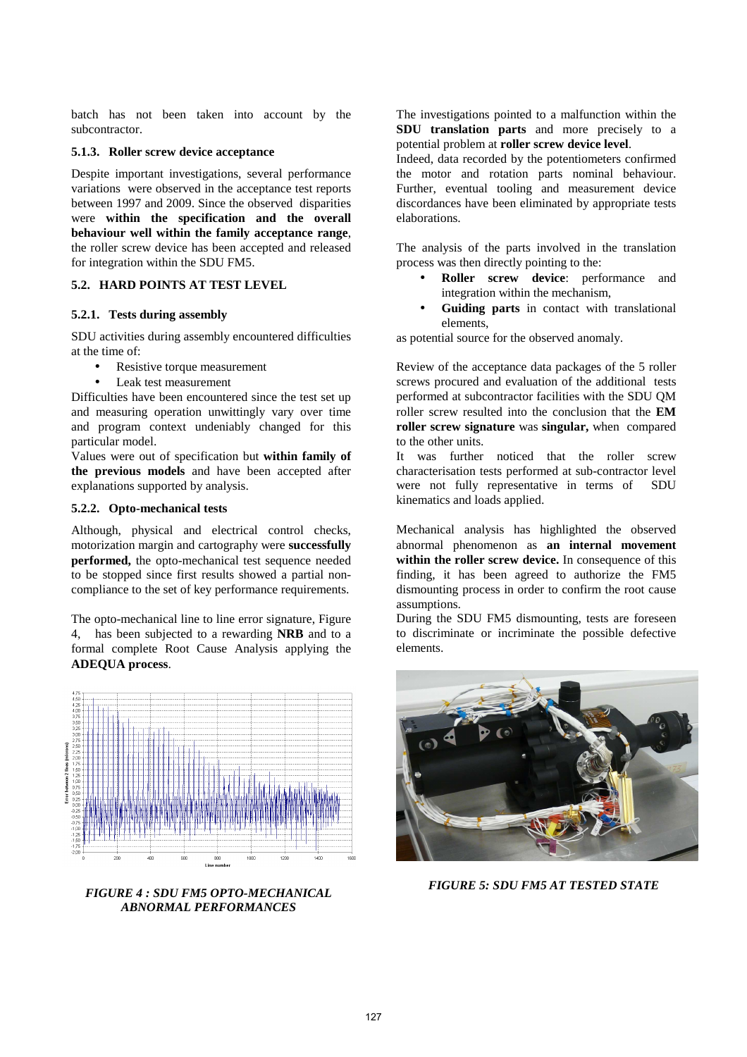batch has not been taken into account by the subcontractor.

#### **5.1.3. Roller screw device acceptance**

Despite important investigations, several performance variations were observed in the acceptance test reports between 1997 and 2009. Since the observed disparities were **within the specification and the overall behaviour well within the family acceptance range**, the roller screw device has been accepted and released for integration within the SDU FM5.

# **5.2. HARD POINTS AT TEST LEVEL**

### **5.2.1. Tests during assembly**

SDU activities during assembly encountered difficulties at the time of:

- Resistive torque measurement
- Leak test measurement

Difficulties have been encountered since the test set up and measuring operation unwittingly vary over time and program context undeniably changed for this particular model.

Values were out of specification but **within family of the previous models** and have been accepted after explanations supported by analysis.

### **5.2.2. Opto-mechanical tests**

Although, physical and electrical control checks, motorization margin and cartography were **successfully performed,** the opto-mechanical test sequence needed to be stopped since first results showed a partial noncompliance to the set of key performance requirements.

The opto-mechanical line to line error signature, Figure 4, has been subjected to a rewarding **NRB** and to a formal complete Root Cause Analysis applying the **ADEQUA process**.



*FIGURE 4 : SDU FM5 OPTO-MECHANICAL ABNORMAL PERFORMANCES* 

The investigations pointed to a malfunction within the **SDU translation parts** and more precisely to a potential problem at **roller screw device level**.

Indeed, data recorded by the potentiometers confirmed the motor and rotation parts nominal behaviour. Further, eventual tooling and measurement device discordances have been eliminated by appropriate tests elaborations.

The analysis of the parts involved in the translation process was then directly pointing to the:

- **Roller screw device**: performance and integration within the mechanism,
- **Guiding parts** in contact with translational elements,

as potential source for the observed anomaly.

Review of the acceptance data packages of the 5 roller screws procured and evaluation of the additional tests performed at subcontractor facilities with the SDU QM roller screw resulted into the conclusion that the **EM roller screw signature** was **singular,** whencompared to the other units.

It was further noticed that the roller screw characterisation tests performed at sub-contractor level were not fully representative in terms of SDU kinematics and loads applied.

Mechanical analysis has highlighted the observed abnormal phenomenon as **an internal movement within the roller screw device.** In consequence of this finding, it has been agreed to authorize the FM5 dismounting process in order to confirm the root cause assumptions.

During the SDU FM5 dismounting, tests are foreseen to discriminate or incriminate the possible defective elements.



*FIGURE 5: SDU FM5 AT TESTED STATE*